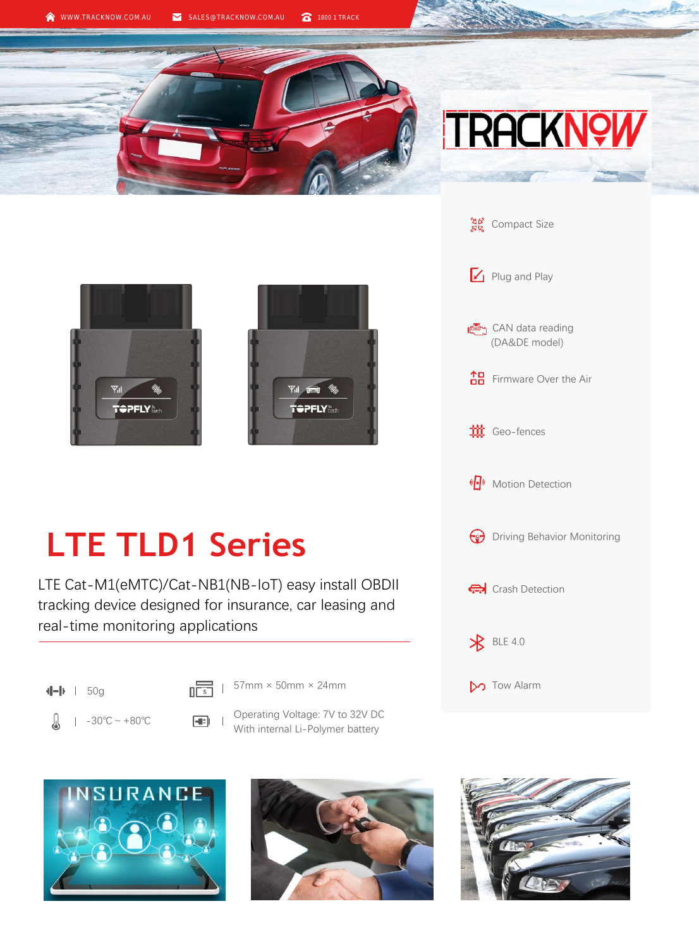## **TRACKN9**



## **LTE TLD1 Series**

LTE Cat-M1(eMTC)/Cat-NB1(NB-IoT) easy install OBDII tracking device designed for insurance, car leasing and real-time monitoring applications

- $\sqrt{\frac{1}{1-\frac{1}{1-\frac{1}{1-\frac{1}{1-\frac{1}{1-\frac{1}{1-\frac{1}{1-\frac{1}{1-\frac{1}{1-\frac{1}{1-\frac{1}{1-\frac{1}{1-\frac{1}{1-\frac{1}{1-\frac{1}{1-\frac{1}{1-\frac{1}{1-\frac{1}{1-\frac{1}{1-\frac{1}{1-\frac{1}{1-\frac{1}{1-\frac{1}{1-\frac{1}{1-\frac{1}{1-\frac{1}{1-\frac{1}{1-\frac{1}{1-\frac{1}{1-\frac{1}{1-\frac{1}{1-\frac{1}{1-\frac{1}{1-\frac{1}{1-\frac{1}{1-\frac{1}{1-\frac$
- Д  $1 -30^{\circ}C - 80^{\circ}C$
- - Operating Voltage: 7V to 32V DC With internal Li-Polymer battery